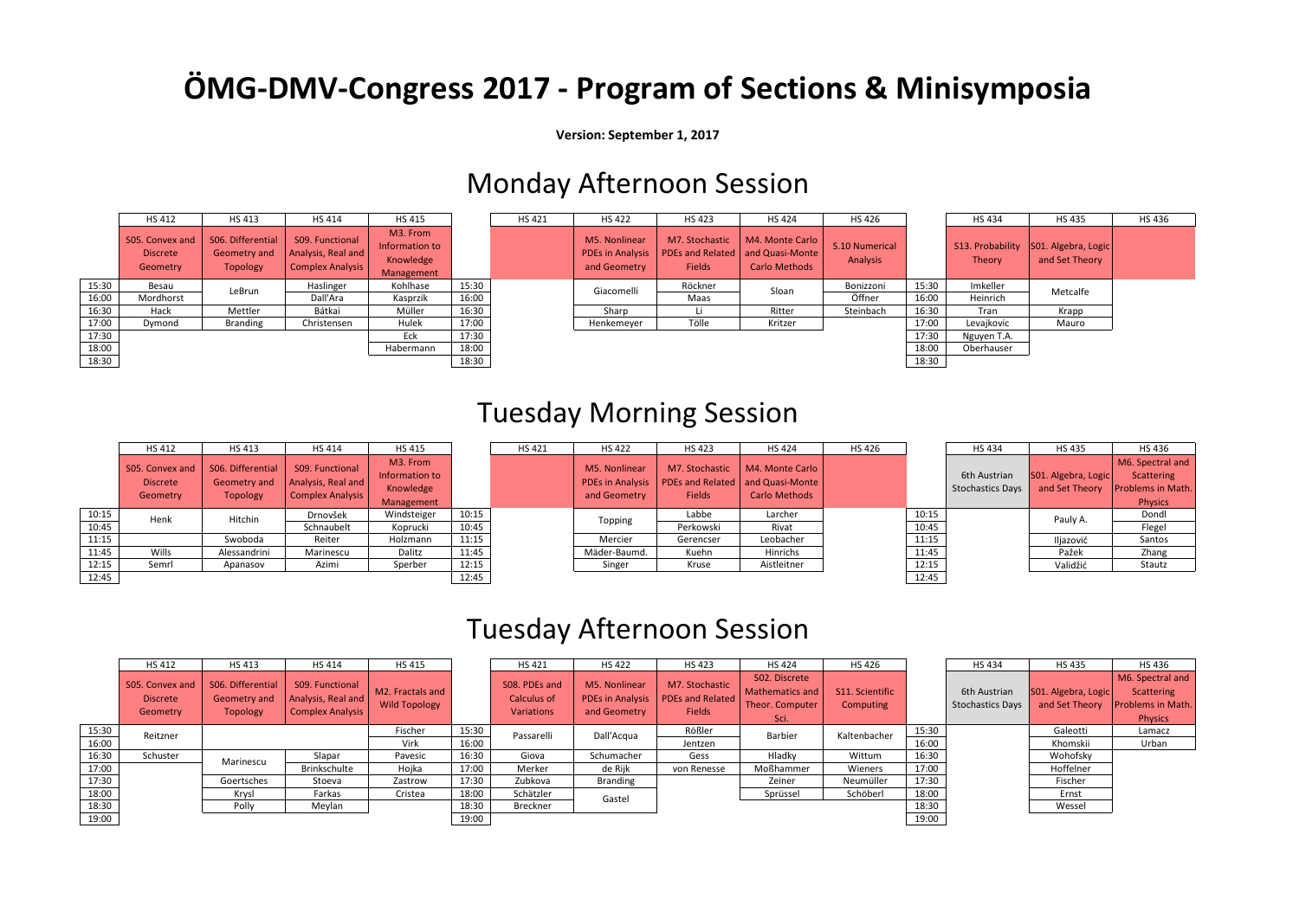## **ÖMG-DMV-Congress 2017 - Program of Sections & Minisymposia**

**Version: September 1, 2017**

### Monday Afternoon Session

|       | <b>HS412</b>                                   | <b>HS413</b>                                         | <b>HS414</b>                                                     | <b>HS415</b>                                          |       | <b>HS421</b> | <b>HS422</b>                                             | <b>HS423</b>                                               | <b>HS424</b>                                               | <b>HS426</b>               |       |
|-------|------------------------------------------------|------------------------------------------------------|------------------------------------------------------------------|-------------------------------------------------------|-------|--------------|----------------------------------------------------------|------------------------------------------------------------|------------------------------------------------------------|----------------------------|-------|
|       | S05. Convex and<br><b>Discrete</b><br>Geometry | S06. Differential<br>Geometry and<br><b>Topology</b> | S09. Functional<br>Analysis, Real and<br><b>Complex Analysis</b> | M3. From<br>Information to<br>Knowledge<br>Management |       |              | M5. Nonlinear<br><b>PDEs in Analysis</b><br>and Geometry | M7. Stochastic<br><b>PDEs and Related</b><br><b>Fields</b> | M4. Monte Carlo<br>and Quasi-Monte<br><b>Carlo Methods</b> | S.10 Numerical<br>Analysis |       |
| 15:30 | Besau                                          | LeBrun                                               | Haslinger                                                        | Kohlhase                                              | 15:30 |              | Giacomelli                                               | Röckner                                                    | Sloan                                                      | Bonizzoni                  | 15:30 |
| 16:00 | Mordhorst                                      |                                                      | Dall'Ara                                                         | Kasprzik                                              | 16:00 |              |                                                          | Maas                                                       |                                                            | Öffner                     | 16:00 |
| 16:30 | Hack                                           | Mettler                                              | Bátkai                                                           | Müller                                                | 16:30 |              | Sharp                                                    |                                                            | Ritter                                                     | Steinbach                  | 16:30 |
| 17:00 | Dymond                                         | Branding                                             | Christensen                                                      | Hulek                                                 | 17:00 |              | Henkemeyer                                               | Tölle                                                      | Kritzer                                                    |                            | 17:00 |
| 17:30 |                                                |                                                      |                                                                  | Eck                                                   | 17:30 |              |                                                          |                                                            |                                                            |                            | 17:30 |
| 18:00 |                                                |                                                      |                                                                  | Habermann                                             | 18:00 |              |                                                          |                                                            |                                                            |                            | 18:00 |
| 18:30 |                                                |                                                      |                                                                  |                                                       | 18:30 |              |                                                          |                                                            |                                                            |                            | 18:30 |

|       | <b>HS412</b>                                   | HS 413                                               | <b>HS414</b>                                                     | <b>HS 415</b>                                         |       | <b>HS421</b> | <b>HS 422</b>                                            | <b>HS423</b>                    | <b>HS424</b>                                                                  | <b>HS426</b>               |       | <b>HS434</b>                      | <b>HS435</b>                          | <b>HS436</b> |
|-------|------------------------------------------------|------------------------------------------------------|------------------------------------------------------------------|-------------------------------------------------------|-------|--------------|----------------------------------------------------------|---------------------------------|-------------------------------------------------------------------------------|----------------------------|-------|-----------------------------------|---------------------------------------|--------------|
|       | S05. Convex and<br><b>Discrete</b><br>Geometry | S06. Differential<br>Geometry and<br><b>Topology</b> | S09. Functional<br>Analysis, Real and<br><b>Complex Analysis</b> | M3. From<br>Information to<br>Knowledge<br>Management |       |              | M5. Nonlinear<br><b>PDEs in Analysis</b><br>and Geometry | M7. Stochastic<br><b>Fields</b> | M4. Monte Carlo<br>PDEs and Related   and Quasi-Monte<br><b>Carlo Methods</b> | S.10 Numerical<br>Analysis |       | S13. Probability<br><b>Theory</b> | S01. Algebra, Logic<br>and Set Theory |              |
| 15:30 | Besau                                          | LeBrun                                               | Haslinger                                                        | Kohlhase                                              | 15:30 |              | Giacomelli                                               | Röckner                         | Sloan                                                                         | Bonizzoni                  | 15:30 | Imkeller                          | Metcalfe                              |              |
| 16:00 | Mordhorst                                      |                                                      | Dall'Ara                                                         | Kasprzik                                              | 16:00 |              |                                                          | Maas                            |                                                                               | Öffner                     | 16:00 | Heinrich                          |                                       |              |
| 16:30 | Hack                                           | Mettler                                              | Bátkai                                                           | Müller                                                | 16:30 |              | Sharp                                                    | -Li                             | Ritter                                                                        | Steinbach                  | 16:30 | Tran                              | Krapp                                 |              |
| 17:00 | Dymond                                         | Branding                                             | Christensen                                                      | Hulek                                                 | 17:00 |              | Henkemeyer                                               | Tölle                           | Kritzer                                                                       |                            | 17:00 | Levajkovic                        | Mauro                                 |              |
| 17:30 |                                                |                                                      |                                                                  | Eck                                                   | 17:30 |              |                                                          |                                 |                                                                               |                            | 17:30 | Nguyen T.A.                       |                                       |              |
| 18:00 |                                                |                                                      |                                                                  | Habermann                                             | 18:00 |              |                                                          |                                 |                                                                               |                            | 18:00 | Oberhauser                        |                                       |              |
| 18:30 |                                                |                                                      |                                                                  |                                                       | 18:30 |              |                                                          |                                 |                                                                               |                            | 18:30 |                                   |                                       |              |

### Tuesday Morning Session

|       | <b>HS 412</b>                                  | <b>HS413</b>                                         | <b>HS 414</b>                                             | <b>HS415</b>                                          |       | <b>HS421</b> | <b>HS422</b>                  | <b>HS423</b>                                                                               | <b>HS424</b>                     | <b>HS426</b> |       | <b>HS434</b>                            | <b>HS435</b>                          | <b>HS436</b>                                              |
|-------|------------------------------------------------|------------------------------------------------------|-----------------------------------------------------------|-------------------------------------------------------|-------|--------------|-------------------------------|--------------------------------------------------------------------------------------------|----------------------------------|--------------|-------|-----------------------------------------|---------------------------------------|-----------------------------------------------------------|
|       | S05. Convex and<br><b>Discrete</b><br>Geometry | S06. Differential<br>Geometry and<br><b>Topology</b> | S09. Functional<br>Analysis, Real and<br>Complex Analysis | M3. From<br>Information to<br>Knowledge<br>Management |       |              | M5. Nonlinear<br>and Geometry | M7. Stochastic<br>PDEs in Analysis   PDEs and Related   and Quasi-Monte  <br><b>Fields</b> | M4. Monte Carlo<br>Carlo Methods |              |       | 6th Austrian<br><b>Stochastics Days</b> | S01. Algebra, Logic<br>and Set Theory | M6. Spectra<br>Scatterin<br><b>Problems</b> in<br>Physics |
| 10:15 | Henk                                           | Hitchin                                              | Drnovšek                                                  | Windsteiger                                           | 10:15 |              | Topping                       | Labbe                                                                                      | Larcher                          |              | 10:15 |                                         | Pauly A.                              | Dondl                                                     |
| 10:45 |                                                |                                                      | Schnaubelt                                                | Koprucki                                              | 10:45 |              |                               | Perkowski                                                                                  | Rivat                            |              | 10:45 |                                         |                                       | Flegel                                                    |
| 11:15 |                                                | Swoboda                                              | Reiter                                                    | Holzmann                                              | 11:15 |              | Mercier                       | Gerencser                                                                                  | Leobacher                        |              | 11:15 |                                         | Iljazović                             | Santos                                                    |
| 11:45 | Wills                                          | Alessandrini                                         | Marinescu                                                 | Dalitz                                                | 11:45 |              | Mäder-Baumd.                  | Kuehn                                                                                      | Hinrichs                         |              | 11:45 |                                         | Pažek                                 | Zhang                                                     |
| 12:15 | Semrl                                          | Apanasov                                             | Azimi                                                     | Sperber                                               | 12:15 |              | Singer                        | Kruse                                                                                      | Aistleitner                      |              | 12:15 |                                         | Validžić                              | Stautz                                                    |
| 12:45 |                                                |                                                      |                                                           |                                                       | 12:45 |              |                               |                                                                                            |                                  |              | 12:45 |                                         |                                       |                                                           |

| <b>HS 422</b>                                            | <b>HS423</b>                                               | <b>HS424</b>                                        |  |  |  |
|----------------------------------------------------------|------------------------------------------------------------|-----------------------------------------------------|--|--|--|
| M5. Nonlinear<br><b>PDEs in Analysis</b><br>and Geometry | M7. Stochastic<br><b>PDEs and Related</b><br><b>Fields</b> | M4. Monte Carlo<br>and Quasi-Monte<br>Carlo Methods |  |  |  |
| Topping                                                  | Labbe                                                      | Larcher                                             |  |  |  |
|                                                          | Perkowski                                                  | Rivat                                               |  |  |  |
| Mercier                                                  | Gerencser                                                  | Leobacher                                           |  |  |  |
| Mäder-Baumd.                                             | Kuehn                                                      | Hinrichs                                            |  |  |  |
| Singer                                                   | Kruse                                                      | Aistleitner                                         |  |  |  |
|                                                          |                                                            |                                                     |  |  |  |

|       | <b>HS434</b>            | <b>HS435</b>        | <b>HS436</b>      |
|-------|-------------------------|---------------------|-------------------|
|       |                         |                     | M6. Spectral and  |
|       | 6th Austrian            | S01. Algebra, Logic | <b>Scattering</b> |
|       | <b>Stochastics Days</b> | and Set Theory      | Problems in Math. |
|       |                         |                     | <b>Physics</b>    |
| 10:15 |                         | Pauly A.            | Dondl             |
| 10:45 |                         |                     | Flegel            |
| 11:15 |                         | Iljazović           | Santos            |
| 11:45 |                         | Pažek               | Zhang             |
| 12:15 |                         | Validžić            | Stautz            |
| 12.45 |                         |                     |                   |

### Tuesday Afternoon Session

|       | <b>HS412</b>                                   | <b>HS413</b>                                         | <b>HS 414</b>                                                    | <b>HS 415</b>                            |       | <b>HS421</b>                                      | <b>HS 422</b>                                            | <b>HS423</b>                                               | <b>HS424</b>                                                | <b>HS 426</b>                |       | <b>HS 434</b>                           | <b>HS435</b>                          | <b>HS436</b>                                                                        |
|-------|------------------------------------------------|------------------------------------------------------|------------------------------------------------------------------|------------------------------------------|-------|---------------------------------------------------|----------------------------------------------------------|------------------------------------------------------------|-------------------------------------------------------------|------------------------------|-------|-----------------------------------------|---------------------------------------|-------------------------------------------------------------------------------------|
|       | S05. Convex and<br><b>Discrete</b><br>Geometry | S06. Differential<br>Geometry and<br><b>Topology</b> | S09. Functional<br>Analysis, Real and<br><b>Complex Analysis</b> | M2. Fractals and<br><b>Wild Topology</b> |       | S08. PDEs and<br>Calculus of<br><b>Variations</b> | M5. Nonlinear<br><b>PDEs in Analysis</b><br>and Geometry | M7. Stochastic<br><b>PDEs and Related</b><br><b>Fields</b> | S02. Discrete<br>Mathematics and<br>Theor. Computer<br>Sci. | S11. Scientific<br>Computing |       | 6th Austrian<br><b>Stochastics Days</b> | S01. Algebra, Logic<br>and Set Theory | M6. Spectral and<br><b>Scattering</b><br><b>Problems in Math.</b><br><b>Physics</b> |
| 15:30 |                                                |                                                      |                                                                  | Fischer                                  | 15:30 | Passarelli                                        | Dall'Acqua                                               | Rößler                                                     | Barbier                                                     | Kaltenbacher                 | 15:30 |                                         | Galeotti                              | Lamacz                                                                              |
| 16:00 | Reitzner                                       |                                                      |                                                                  | Virk                                     | 16:00 |                                                   |                                                          | Jentzen                                                    |                                                             |                              | 16:00 |                                         | Khomskii                              | Urban                                                                               |
| 16:30 | Schuster                                       | Marinescu                                            | Slapar                                                           | Pavesic                                  | 16:30 | Giova                                             | Schumacher                                               | Gess                                                       | Hladky                                                      | Wittum                       | 16:30 |                                         | Wohofsky                              |                                                                                     |
| 17:00 |                                                |                                                      | Brinkschulte                                                     | Hojka                                    | 17:00 | Merker                                            | de Rijk                                                  | von Renesse                                                | Moßhammer                                                   | Wieners                      | 17:00 |                                         | Hoffelner                             |                                                                                     |
| 17:30 |                                                | Goertsches                                           | Stoeva                                                           | Zastrow                                  | 17:30 | Zubkova                                           | <b>Branding</b>                                          |                                                            | Zeiner                                                      | Neumüller                    | 17:30 |                                         | Fischer                               |                                                                                     |
| 18:00 |                                                | Krysl                                                | Farkas                                                           | Cristea                                  | 18:00 | Schätzler                                         | Gastel                                                   |                                                            | Sprüssel                                                    | Schöberl                     | 18:00 |                                         | Ernst                                 |                                                                                     |
| 18:30 |                                                | Polly                                                | Meylan                                                           |                                          | 18:30 | Breckner                                          |                                                          |                                                            |                                                             |                              | 18:30 |                                         | Wessel                                |                                                                                     |
| 19:00 |                                                |                                                      |                                                                  |                                          | 19:00 |                                                   |                                                          |                                                            |                                                             |                              | 19:00 |                                         |                                       |                                                                                     |